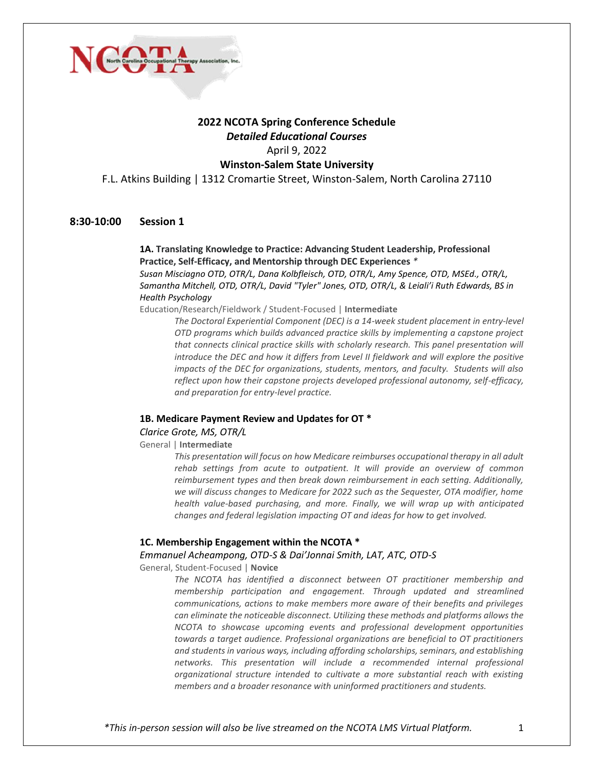

# **2022 NCOTA Spring Conference Schedule** *Detailed Educational Courses* April 9, 2022

# **Winston-Salem State University**

F.L. Atkins Building | 1312 Cromartie Street, Winston-Salem, North Carolina 27110

# **8:30-10:00 Session 1**

### **1A. Translating Knowledge to Practice: Advancing Student Leadership, Professional Practice, Self-Efficacy, and Mentorship through DEC Experiences** *\**

*Susan Misciagno OTD, OTR/L, Dana Kolbfleisch, OTD, OTR/L, Amy Spence, OTD, MSEd., OTR/L, Samantha Mitchell, OTD, OTR/L, David "Tyler" Jones, OTD, OTR/L, & Leiali'i Ruth Edwards, BS in Health Psychology*

Education/Research/Fieldwork / Student-Focused | **Intermediate**

*The Doctoral Experiential Component (DEC) is a 14-week student placement in entry-level OTD programs which builds advanced practice skills by implementing a capstone project that connects clinical practice skills with scholarly research. This panel presentation will introduce the DEC and how it differs from Level II fieldwork and will explore the positive impacts of the DEC for organizations, students, mentors, and faculty. Students will also reflect upon how their capstone projects developed professional autonomy, self-efficacy, and preparation for entry-level practice.*

#### **1B. Medicare Payment Review and Updates for OT \***

*Clarice Grote, MS, OTR/L* 

General | **Intermediate**

*This presentation will focus on how Medicare reimburses occupational therapy in all adult rehab settings from acute to outpatient. It will provide an overview of common reimbursement types and then break down reimbursement in each setting. Additionally, we will discuss changes to Medicare for 2022 such as the Sequester, OTA modifier, home health value-based purchasing, and more. Finally, we will wrap up with anticipated changes and federal legislation impacting OT and ideas for how to get involved.*

### **1C. Membership Engagement within the NCOTA \***

*Emmanuel Acheampong, OTD-S & Dai'Jonnai Smith, LAT, ATC, OTD-S* 

General, Student-Focused | **Novice**

*The NCOTA has identified a disconnect between OT practitioner membership and membership participation and engagement. Through updated and streamlined communications, actions to make members more aware of their benefits and privileges can eliminate the noticeable disconnect. Utilizing these methods and platforms allows the NCOTA to showcase upcoming events and professional development opportunities towards a target audience. Professional organizations are beneficial to OT practitioners and students in various ways, including affording scholarships, seminars, and establishing networks. This presentation will include a recommended internal professional organizational structure intended to cultivate a more substantial reach with existing members and a broader resonance with uninformed practitioners and students.*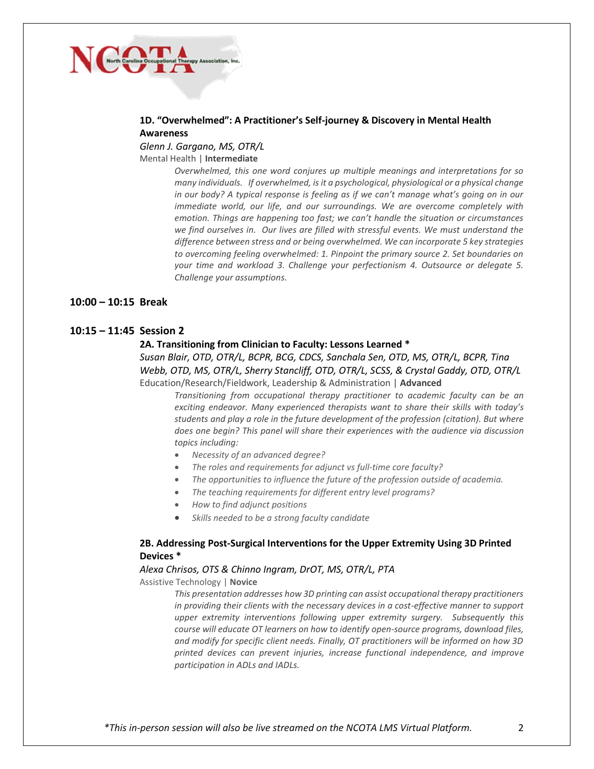

## **1D. "Overwhelmed": A Practitioner's Self-journey & Discovery in Mental Health Awareness**

*Glenn J. Gargano, MS, OTR/L* Mental Health | **Intermediate**

> *Overwhelmed, this one word conjures up multiple meanings and interpretations for so many individuals. If overwhelmed, is it a psychological, physiological or a physical change in our body? A typical response is feeling as if we can't manage what's going on in our immediate world, our life, and our surroundings. We are overcome completely with emotion. Things are happening too fast; we can't handle the situation or circumstances we find ourselves in. Our lives are filled with stressful events. We must understand the difference between stress and or being overwhelmed. We can incorporate 5 key strategies to overcoming feeling overwhelmed: 1. Pinpoint the primary source 2. Set boundaries on your time and workload 3. Challenge your perfectionism 4. Outsource or delegate 5. Challenge your assumptions.*

#### **10:00 – 10:15 Break**

### **10:15 – 11:45 Session 2**

#### **2A. Transitioning from Clinician to Faculty: Lessons Learned \***

*Susan Blair, OTD, OTR/L, BCPR, BCG, CDCS, Sanchala Sen, OTD, MS, OTR/L, BCPR, Tina Webb, OTD, MS, OTR/L, Sherry Stancliff, OTD, OTR/L, SCSS, & Crystal Gaddy, OTD, OTR/L*  Education/Research/Fieldwork, Leadership & Administration | **Advanced**

*Transitioning from occupational therapy practitioner to academic faculty can be an exciting endeavor. Many experienced therapists want to share their skills with today's students and play a role in the future development of the profession (citation). But where does one begin? This panel will share their experiences with the audience via discussion topics including:*

- *Necessity of an advanced degree?*
- *The roles and requirements for adjunct vs full-time core faculty?*
- *The opportunities to influence the future of the profession outside of academia.*
- *The teaching requirements for different entry level programs?*
- *How to find adjunct positions*
- *Skills needed to be a strong faculty candidate*

### **2B. Addressing Post-Surgical Interventions for the Upper Extremity Using 3D Printed Devices \***

#### *Alexa Chrisos, OTS & Chinno Ingram, DrOT, MS, OTR/L, PTA*

Assistive Technology | **Novice**

*This presentation addresses how 3D printing can assist occupational therapy practitioners in providing their clients with the necessary devices in a cost-effective manner to support upper extremity interventions following upper extremity surgery. Subsequently this course will educate OT learners on how to identify open-source programs, download files, and modify for specific client needs. Finally, OT practitioners will be informed on how 3D printed devices can prevent injuries, increase functional independence, and improve participation in ADLs and IADLs.*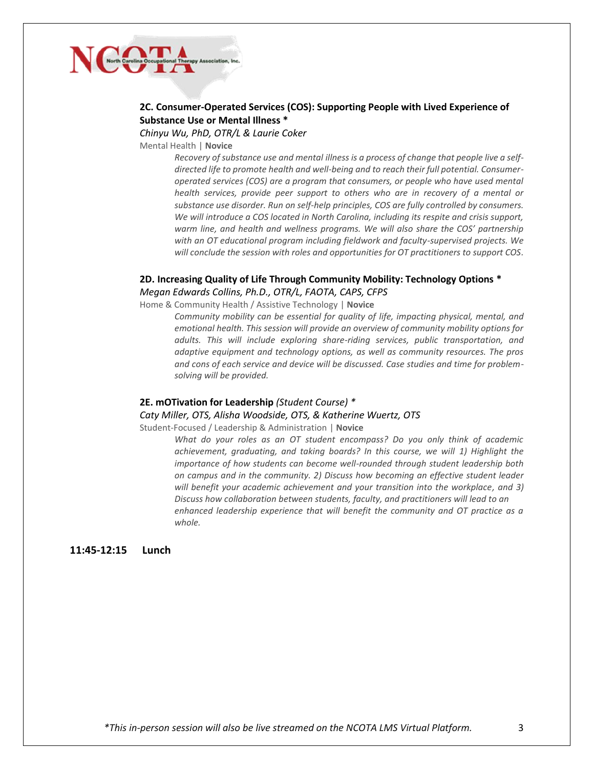# NGO

# **2C. Consumer-Operated Services (COS): Supporting People with Lived Experience of Substance Use or Mental Illness \***

*Chinyu Wu, PhD, OTR/L & Laurie Coker* 

Mental Health | **Novice**

*Recovery of substance use and mental illness is a process of change that people live a selfdirected life to promote health and well-being and to reach their full potential. Consumeroperated services (COS) are a program that consumers, or people who have used mental health services, provide peer support to others who are in recovery of a mental or substance use disorder. Run on self-help principles, COS are fully controlled by consumers. We will introduce a COS located in North Carolina, including its respite and crisis support, warm line, and health and wellness programs. We will also share the COS' partnership with an OT educational program including fieldwork and faculty-supervised projects. We will conclude the session with roles and opportunities for OT practitioners to support COS.* 

# **2D. Increasing Quality of Life Through Community Mobility: Technology Options \*** *Megan Edwards Collins, Ph.D., OTR/L, FAOTA, CAPS, CFPS*

Home & Community Health / Assistive Technology | **Novice**

*Community mobility can be essential for quality of life, impacting physical, mental, and emotional health. This session will provide an overview of community mobility options for adults. This will include exploring share-riding services, public transportation, and adaptive equipment and technology options, as well as community resources. The pros and cons of each service and device will be discussed. Case studies and time for problemsolving will be provided.*

#### **2E. mOTivation for Leadership** *(Student Course) \**

#### *Caty Miller, OTS, Alisha Woodside, OTS, & Katherine Wuertz, OTS*

Student-Focused / Leadership & Administration | **Novice**

*What do your roles as an OT student encompass? Do you only think of academic achievement, graduating, and taking boards? In this course, we will 1) Highlight the importance of how students can become well-rounded through student leadership both on campus and in the community. 2) Discuss how becoming an effective student leader will benefit your academic achievement and your transition into the workplace, and 3) Discuss how collaboration between students, faculty, and practitioners will lead to an enhanced leadership experience that will benefit the community and OT practice as a whole.*

**11:45-12:15 Lunch** 

*\*This in-person session will also be live streamed on the NCOTA LMS Virtual Platform.* 3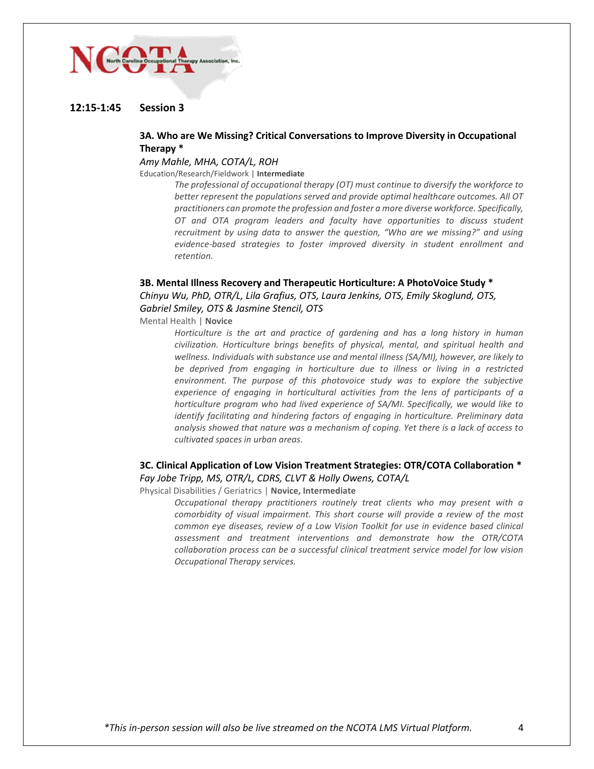# NGO.

## **12:15-1:45 Session 3**

# **3A. Who are We Missing? Critical Conversations to Improve Diversity in Occupational Therapy \***

#### *Amy Mahle, MHA, COTA/L, ROH*

#### Education/Research/Fieldwork | **Intermediate**

*The professional of occupational therapy (OT) must continue to diversify the workforce to better represent the populations served and provide optimal healthcare outcomes. All OT practitioners can promote the profession and foster a more diverse workforce. Specifically, OT and OTA program leaders and faculty have opportunities to discuss student recruitment by using data to answer the question, "Who are we missing?" and using evidence-based strategies to foster improved diversity in student enrollment and retention.*

#### **3B. Mental Illness Recovery and Therapeutic Horticulture: A PhotoVoice Study \***

*Chinyu Wu, PhD, OTR/L, Lila Grafius, OTS, Laura Jenkins, OTS, Emily Skoglund, OTS, Gabriel Smiley, OTS & Jasmine Stencil, OTS*

Mental Health | **Novice**

*Horticulture is the art and practice of gardening and has a long history in human civilization. Horticulture brings benefits of physical, mental, and spiritual health and wellness. Individuals with substance use and mental illness (SA/MI), however, are likely to be deprived from engaging in horticulture due to illness or living in a restricted environment. The purpose of this photovoice study was to explore the subjective experience of engaging in horticultural activities from the lens of participants of a horticulture program who had lived experience of SA/MI. Specifically, we would like to identify facilitating and hindering factors of engaging in horticulture. Preliminary data analysis showed that nature was a mechanism of coping. Yet there is a lack of access to cultivated spaces in urban areas.*

#### **3C. Clinical Application of Low Vision Treatment Strategies: OTR/COTA Collaboration \*** *Fay Jobe Tripp, MS, OTR/L, CDRS, CLVT & Holly Owens, COTA/L*

Physical Disabilities / Geriatrics | **Novice, Intermediate**

*Occupational therapy practitioners routinely treat clients who may present with a comorbidity of visual impairment. This short course will provide a review of the most common eye diseases, review of a Low Vision Toolkit for use in evidence based clinical assessment and treatment interventions and demonstrate how the OTR/COTA collaboration process can be a successful clinical treatment service model for low vision Occupational Therapy services.*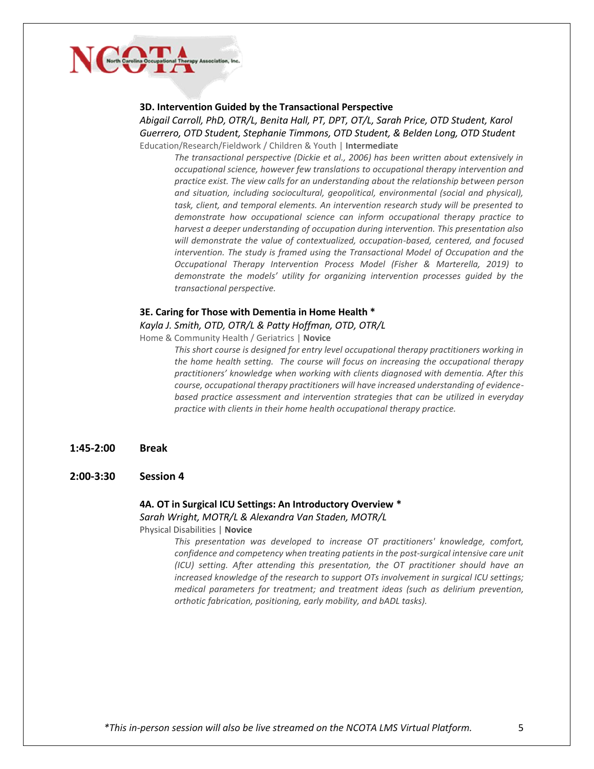

#### **3D. Intervention Guided by the Transactional Perspective**

*Abigail Carroll, PhD, OTR/L, Benita Hall, PT, DPT, OT/L, Sarah Price, OTD Student, Karol Guerrero, OTD Student, Stephanie Timmons, OTD Student, & Belden Long, OTD Student*  Education/Research/Fieldwork / Children & Youth | **Intermediate**

*The transactional perspective (Dickie et al., 2006) has been written about extensively in occupational science, however few translations to occupational therapy intervention and practice exist. The view calls for an understanding about the relationship between person and situation, including sociocultural, geopolitical, environmental (social and physical), task, client, and temporal elements. An intervention research study will be presented to demonstrate how occupational science can inform occupational therapy practice to harvest a deeper understanding of occupation during intervention. This presentation also will demonstrate the value of contextualized, occupation-based, centered, and focused intervention. The study is framed using the Transactional Model of Occupation and the Occupational Therapy Intervention Process Model (Fisher & Marterella, 2019) to demonstrate the models' utility for organizing intervention processes guided by the transactional perspective.*

#### **3E. Caring for Those with Dementia in Home Health \***

#### *Kayla J. Smith, OTD, OTR/L & Patty Hoffman, OTD, OTR/L*

Home & Community Health / Geriatrics | **Novice**

*This short course is designed for entry level occupational therapy practitioners working in the home health setting. The course will focus on increasing the occupational therapy practitioners' knowledge when working with clients diagnosed with dementia. After this course, occupational therapy practitioners will have increased understanding of evidencebased practice assessment and intervention strategies that can be utilized in everyday practice with clients in their home health occupational therapy practice.*

- **1:45-2:00 Break**
- **2:00-3:30 Session 4**

# **4A. OT in Surgical ICU Settings: An Introductory Overview \*** *Sarah Wright, MOTR/L & Alexandra Van Staden, MOTR/L*

Physical Disabilities | **Novice**

*This presentation was developed to increase OT practitioners' knowledge, comfort, confidence and competency when treating patients in the post-surgical intensive care unit (ICU) setting. After attending this presentation, the OT practitioner should have an increased knowledge of the research to support OTs involvement in surgical ICU settings; medical parameters for treatment; and treatment ideas (such as delirium prevention, orthotic fabrication, positioning, early mobility, and bADL tasks).*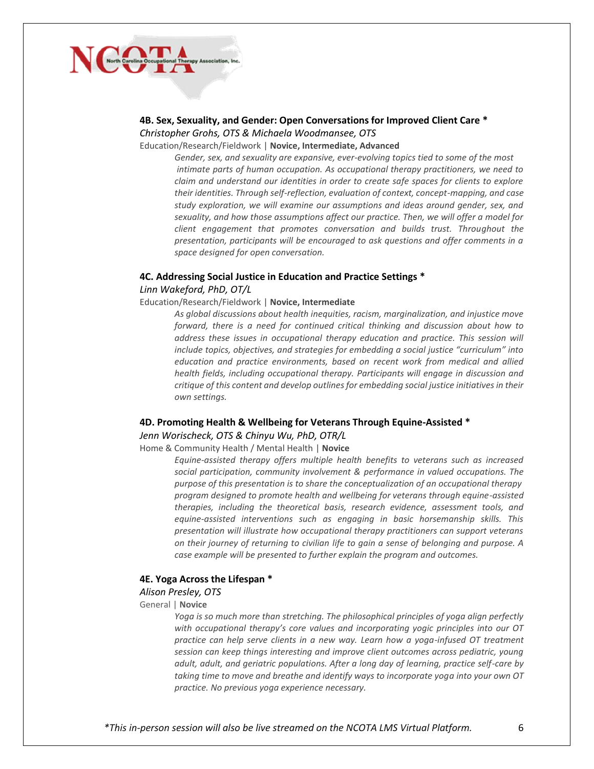

# **4B. Sex, Sexuality, and Gender: Open Conversations for Improved Client Care \*** *Christopher Grohs, OTS & Michaela Woodmansee, OTS*

Education/Research/Fieldwork | **Novice, Intermediate, Advanced**

*Gender, sex, and sexuality are expansive, ever-evolving topics tied to some of the most intimate parts of human occupation. As occupational therapy practitioners, we need to claim and understand our identities in order to create safe spaces for clients to explore their identities. Through self-reflection, evaluation of context, concept-mapping, and case study exploration, we will examine our assumptions and ideas around gender, sex, and sexuality, and how those assumptions affect our practice. Then, we will offer a model for client engagement that promotes conversation and builds trust. Throughout the presentation, participants will be encouraged to ask questions and offer comments in a space designed for open conversation.*

#### **4C. Addressing Social Justice in Education and Practice Settings \***

#### *Linn Wakeford, PhD, OT/L*

Education/Research/Fieldwork | **Novice, Intermediate**

*As global discussions about health inequities, racism, marginalization, and injustice move forward, there is a need for continued critical thinking and discussion about how to address these issues in occupational therapy education and practice. This session will include topics, objectives, and strategies for embedding a social justice "curriculum" into education and practice environments, based on recent work from medical and allied health fields, including occupational therapy. Participants will engage in discussion and critique of this content and develop outlines for embedding social justice initiatives in their own settings.*

#### **4D. Promoting Health & Wellbeing for Veterans Through Equine-Assisted \***

*Jenn Worischeck, OTS & Chinyu Wu, PhD, OTR/L* 

Home & Community Health / Mental Health | **Novice**

*Equine-assisted therapy offers multiple health benefits to veterans such as increased social participation, community involvement & performance in valued occupations. The purpose of this presentation is to share the conceptualization of an occupational therapy program designed to promote health and wellbeing for veterans through equine-assisted therapies, including the theoretical basis, research evidence, assessment tools, and equine-assisted interventions such as engaging in basic horsemanship skills. This presentation will illustrate how occupational therapy practitioners can support veterans on their journey of returning to civilian life to gain a sense of belonging and purpose. A case example will be presented to further explain the program and outcomes.*

#### **4E. Yoga Across the Lifespan \***

#### *Alison Presley, OTS*

General | **Novice** 

*Yoga is so much more than stretching. The philosophical principles of yoga align perfectly with occupational therapy's core values and incorporating yogic principles into our OT practice can help serve clients in a new way. Learn how a yoga-infused OT treatment session can keep things interesting and improve client outcomes across pediatric, young adult, adult, and geriatric populations. After a long day of learning, practice self-care by taking time to move and breathe and identify ways to incorporate yoga into your own OT practice. No previous yoga experience necessary.*

*\*This in-person session will also be live streamed on the NCOTA LMS Virtual Platform.* 6